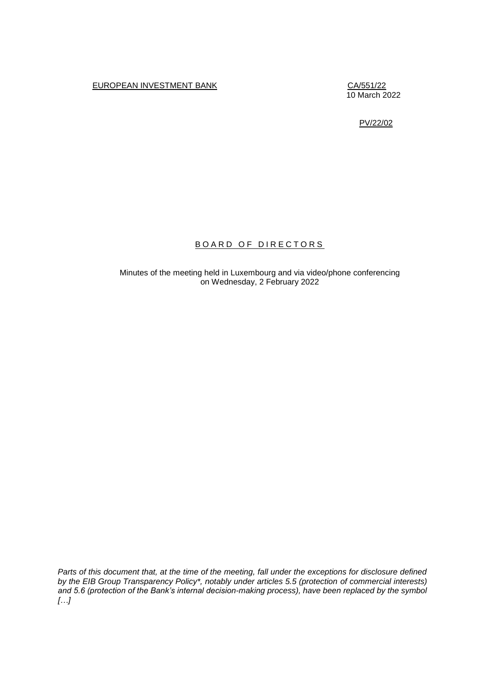# EUROPEAN INVESTMENT BANK CA/551/22

10 March 2022

PV/22/02

# BOARD OF DIRECTORS

Minutes of the meeting held in Luxembourg and via video/phone conferencing on Wednesday, 2 February 2022

*Parts of this document that, at the time of the meeting, fall under the exceptions for disclosure defined by the EIB Group Transparency Policy\*, notably under articles 5.5 (protection of commercial interests) and 5.6 (protection of the Bank's internal decision-making process), have been replaced by the symbol […]*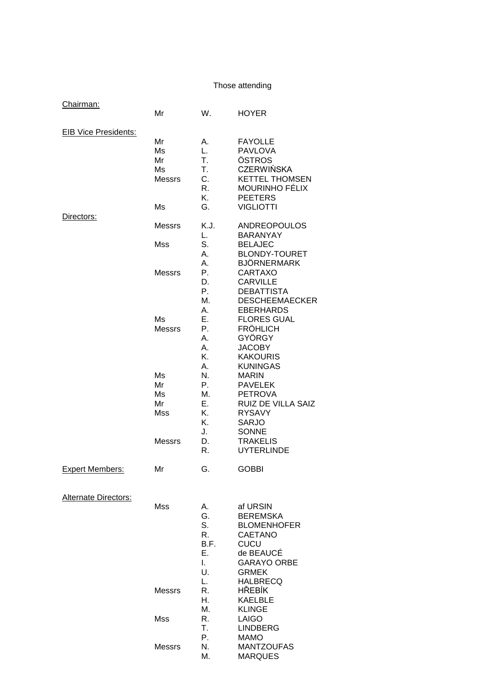# Those attending

| Chairman:                   | Mr                                    | W.                                             | <b>HOYER</b>                                                                                                                               |
|-----------------------------|---------------------------------------|------------------------------------------------|--------------------------------------------------------------------------------------------------------------------------------------------|
| <b>EIB Vice Presidents:</b> | Mr<br>Ms<br>Mr<br>Ms<br><b>Messrs</b> | А.<br>L.<br>Τ.<br>Τ.<br>C.<br>R.<br>Κ.         | <b>FAYOLLE</b><br><b>PAVLOVA</b><br>ÖSTROS<br><b>CZERWIŃSKA</b><br><b>KETTEL THOMSEN</b><br><b>MOURINHO FÉLIX</b><br><b>PEETERS</b>        |
| Directors:                  | Ms<br><b>Messrs</b><br>Mss            | G.<br>K.J.<br>L.<br>S.                         | <b>VIGLIOTTI</b><br><b>ANDREOPOULOS</b><br><b>BARANYAY</b><br><b>BELAJEC</b>                                                               |
|                             | <b>Messrs</b>                         | А.<br>Α.<br>Р.<br>D.<br>Ρ.<br>М.<br>А.         | <b>BLONDY-TOURET</b><br>BJÖRNERMARK<br><b>CARTAXO</b><br><b>CARVILLE</b><br><b>DEBATTISTA</b><br><b>DESCHEEMAECKER</b><br><b>EBERHARDS</b> |
|                             | Ms<br><b>Messrs</b>                   | Ε.<br>Р.<br>Α.<br>А.<br>Κ.<br>А.               | <b>FLORES GUAL</b><br><b>FRÖHLICH</b><br>GYÖRGY<br><b>JACOBY</b><br><b>KAKOURIS</b><br><b>KUNINGAS</b>                                     |
|                             | Ms<br>Mr<br>Ms<br>Mr<br>Mss           | N.<br>Р.<br>М.<br>Е.<br>Κ.<br>Κ.               | <b>MARIN</b><br><b>PAVELEK</b><br><b>PETROVA</b><br>RUIZ DE VILLA SAIZ<br><b>RYSAVY</b><br><b>SARJO</b>                                    |
|                             | <b>Messrs</b>                         | J.<br>D.<br>R.                                 | <b>SONNE</b><br><b>TRAKELIS</b><br><b>UYTERLINDE</b>                                                                                       |
| <b>Expert Members:</b>      | Mr                                    | G.                                             | <b>GOBBI</b>                                                                                                                               |
| <b>Alternate Directors:</b> | Mss                                   | А.<br>G.<br>S.<br>R.<br>B.F.<br>Ε.<br>L.<br>U. | af URSIN<br><b>BEREMSKA</b><br><b>BLOMENHOFER</b><br><b>CAETANO</b><br><b>CUCU</b><br>de BEAUCÉ<br><b>GARAYO ORBE</b><br><b>GRMEK</b>      |
|                             | <b>Messrs</b>                         | L.<br>R.<br>Н.<br>М.                           | <b>HALBRECQ</b><br><b>HŘEBÍK</b><br><b>KAELBLE</b><br><b>KLINGE</b>                                                                        |
|                             | <b>Mss</b>                            | R.<br>Τ.<br>Р.                                 | <b>LAIGO</b><br><b>LINDBERG</b><br><b>MAMO</b>                                                                                             |
|                             | <b>Messrs</b>                         | N.<br>М.                                       | <b>MANTZOUFAS</b><br><b>MARQUES</b>                                                                                                        |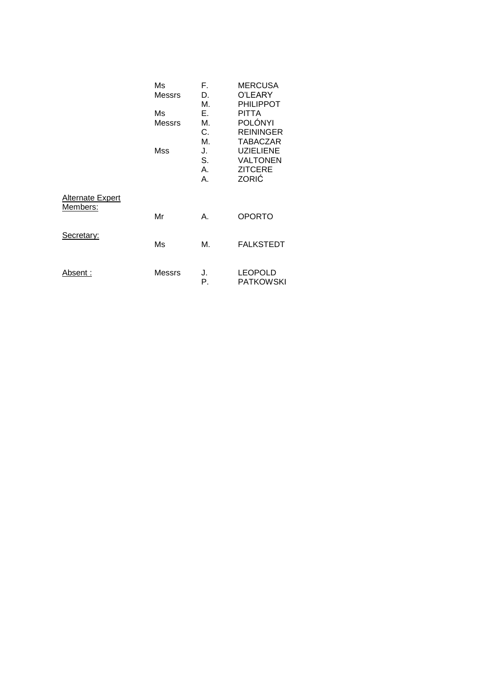|                                     | Ms<br><b>Messrs</b><br>Ms<br><b>Messrs</b><br>Mss | F.<br>D.<br>М.<br>Е.<br>М.<br>C.<br>М.<br>J.<br>S.<br>Α.<br>А. | <b>MERCUSA</b><br>O'LEARY<br><b>PHILIPPOT</b><br>PITTA<br>POLÓNYI<br><b>REININGER</b><br><b>TABACZAR</b><br><b>UZIELIENE</b><br><b>VALTONEN</b><br><b>ZITCERE</b><br>ZORIĆ |
|-------------------------------------|---------------------------------------------------|----------------------------------------------------------------|----------------------------------------------------------------------------------------------------------------------------------------------------------------------------|
| <b>Alternate Expert</b><br>Members: | Mr                                                | А.                                                             | <b>OPORTO</b>                                                                                                                                                              |
| Secretary:                          | Ms                                                | М.                                                             | <b>FALKSTEDT</b>                                                                                                                                                           |
| Absent :                            | Messrs                                            | J.<br>Р.                                                       | <b>LEOPOLD</b><br><b>PATKOWSKI</b>                                                                                                                                         |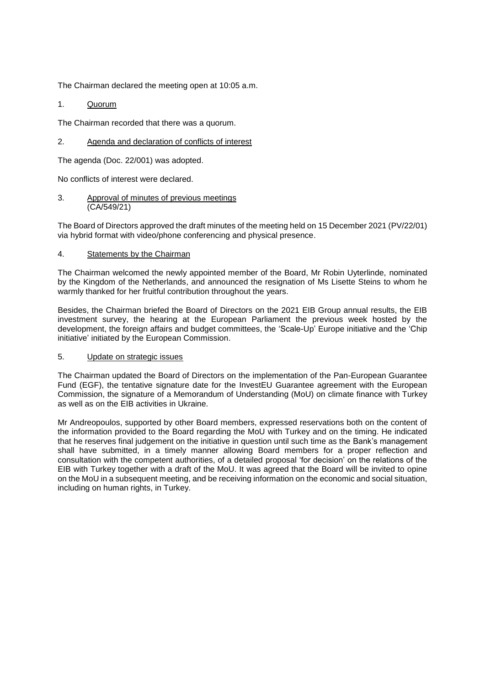The Chairman declared the meeting open at 10:05 a.m.

# 1. Quorum

The Chairman recorded that there was a quorum.

# 2. Agenda and declaration of conflicts of interest

The agenda (Doc. 22/001) was adopted.

No conflicts of interest were declared.

3. Approval of minutes of previous meetings (CA/549/21)

The Board of Directors approved the draft minutes of the meeting held on 15 December 2021 (PV/22/01) via hybrid format with video/phone conferencing and physical presence.

## 4. Statements by the Chairman

The Chairman welcomed the newly appointed member of the Board, Mr Robin Uyterlinde, nominated by the Kingdom of the Netherlands, and announced the resignation of Ms Lisette Steins to whom he warmly thanked for her fruitful contribution throughout the years.

Besides, the Chairman briefed the Board of Directors on the 2021 EIB Group annual results, the EIB investment survey, the hearing at the European Parliament the previous week hosted by the development, the foreign affairs and budget committees, the 'Scale-Up' Europe initiative and the 'Chip initiative' initiated by the European Commission.

## 5. Update on strategic issues

The Chairman updated the Board of Directors on the implementation of the Pan-European Guarantee Fund (EGF), the tentative signature date for the InvestEU Guarantee agreement with the European Commission, the signature of a Memorandum of Understanding (MoU) on climate finance with Turkey as well as on the EIB activities in Ukraine.

Mr Andreopoulos, supported by other Board members, expressed reservations both on the content of the information provided to the Board regarding the MoU with Turkey and on the timing. He indicated that he reserves final judgement on the initiative in question until such time as the Bank's management shall have submitted, in a timely manner allowing Board members for a proper reflection and consultation with the competent authorities, of a detailed proposal 'for decision' on the relations of the EIB with Turkey together with a draft of the MoU. It was agreed that the Board will be invited to opine on the MoU in a subsequent meeting, and be receiving information on the economic and social situation, including on human rights, in Turkey.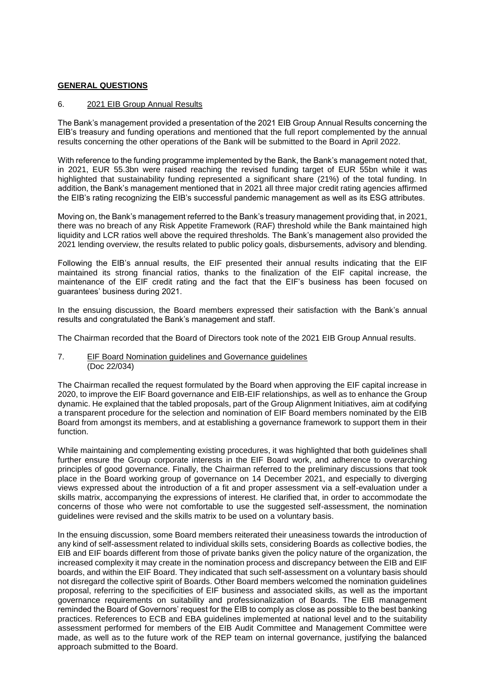# **GENERAL QUESTIONS**

## 6. 2021 EIB Group Annual Results

The Bank's management provided a presentation of the 2021 EIB Group Annual Results concerning the EIB's treasury and funding operations and mentioned that the full report complemented by the annual results concerning the other operations of the Bank will be submitted to the Board in April 2022.

With reference to the funding programme implemented by the Bank, the Bank's management noted that, in 2021, EUR 55.3bn were raised reaching the revised funding target of EUR 55bn while it was highlighted that sustainability funding represented a significant share (21%) of the total funding. In addition, the Bank's management mentioned that in 2021 all three major credit rating agencies affirmed the EIB's rating recognizing the EIB's successful pandemic management as well as its ESG attributes.

Moving on, the Bank's management referred to the Bank's treasury management providing that, in 2021, there was no breach of any Risk Appetite Framework (RAF) threshold while the Bank maintained high liquidity and LCR ratios well above the required thresholds. The Bank's management also provided the 2021 lending overview, the results related to public policy goals, disbursements, advisory and blending.

Following the EIB's annual results, the EIF presented their annual results indicating that the EIF maintained its strong financial ratios, thanks to the finalization of the EIF capital increase, the maintenance of the EIF credit rating and the fact that the EIF's business has been focused on guarantees' business during 2021.

In the ensuing discussion, the Board members expressed their satisfaction with the Bank's annual results and congratulated the Bank's management and staff.

The Chairman recorded that the Board of Directors took note of the 2021 EIB Group Annual results.

## 7. EIF Board Nomination guidelines and Governance guidelines (Doc 22/034)

The Chairman recalled the request formulated by the Board when approving the EIF capital increase in 2020, to improve the EIF Board governance and EIB-EIF relationships, as well as to enhance the Group dynamic. He explained that the tabled proposals, part of the Group Alignment Initiatives, aim at codifying a transparent procedure for the selection and nomination of EIF Board members nominated by the EIB Board from amongst its members, and at establishing a governance framework to support them in their function.

While maintaining and complementing existing procedures, it was highlighted that both guidelines shall further ensure the Group corporate interests in the EIF Board work, and adherence to overarching principles of good governance. Finally, the Chairman referred to the preliminary discussions that took place in the Board working group of governance on 14 December 2021, and especially to diverging views expressed about the introduction of a fit and proper assessment via a self-evaluation under a skills matrix, accompanying the expressions of interest. He clarified that, in order to accommodate the concerns of those who were not comfortable to use the suggested self-assessment, the nomination guidelines were revised and the skills matrix to be used on a voluntary basis.

In the ensuing discussion, some Board members reiterated their uneasiness towards the introduction of any kind of self-assessment related to individual skills sets, considering Boards as collective bodies, the EIB and EIF boards different from those of private banks given the policy nature of the organization, the increased complexity it may create in the nomination process and discrepancy between the EIB and EIF boards, and within the EIF Board. They indicated that such self-assessment on a voluntary basis should not disregard the collective spirit of Boards. Other Board members welcomed the nomination guidelines proposal, referring to the specificities of EIF business and associated skills, as well as the important governance requirements on suitability and professionalization of Boards. The EIB management reminded the Board of Governors' request for the EIB to comply as close as possible to the best banking practices. References to ECB and EBA guidelines implemented at national level and to the suitability assessment performed for members of the EIB Audit Committee and Management Committee were made, as well as to the future work of the REP team on internal governance, justifying the balanced approach submitted to the Board.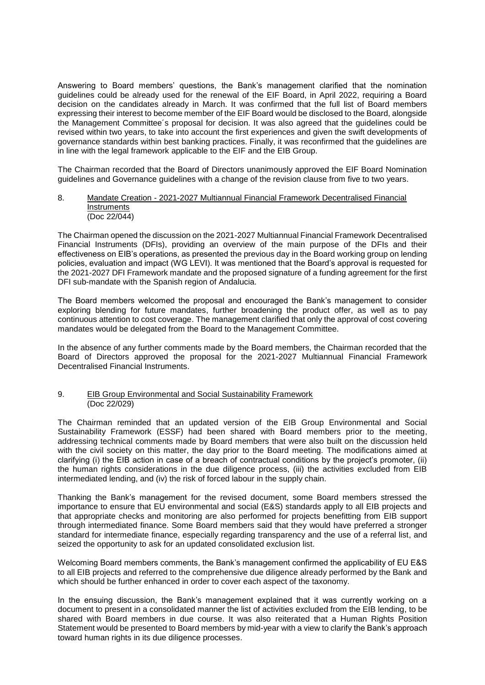Answering to Board members' questions, the Bank's management clarified that the nomination guidelines could be already used for the renewal of the EIF Board, in April 2022, requiring a Board decision on the candidates already in March. It was confirmed that the full list of Board members expressing their interest to become member of the EIF Board would be disclosed to the Board, alongside the Management Committee´s proposal for decision. It was also agreed that the guidelines could be revised within two years, to take into account the first experiences and given the swift developments of governance standards within best banking practices. Finally, it was reconfirmed that the guidelines are in line with the legal framework applicable to the EIF and the EIB Group.

The Chairman recorded that the Board of Directors unanimously approved the EIF Board Nomination guidelines and Governance guidelines with a change of the revision clause from five to two years.

## 8. Mandate Creation - 2021-2027 Multiannual Financial Framework Decentralised Financial **Instruments** (Doc 22/044)

The Chairman opened the discussion on the 2021-2027 Multiannual Financial Framework Decentralised Financial Instruments (DFIs), providing an overview of the main purpose of the DFIs and their effectiveness on EIB's operations, as presented the previous day in the Board working group on lending policies, evaluation and impact (WG LEVI). It was mentioned that the Board's approval is requested for the 2021-2027 DFI Framework mandate and the proposed signature of a funding agreement for the first DFI sub-mandate with the Spanish region of Andalucia.

The Board members welcomed the proposal and encouraged the Bank's management to consider exploring blending for future mandates, further broadening the product offer, as well as to pay continuous attention to cost coverage. The management clarified that only the approval of cost covering mandates would be delegated from the Board to the Management Committee.

In the absence of any further comments made by the Board members, the Chairman recorded that the Board of Directors approved the proposal for the 2021-2027 Multiannual Financial Framework Decentralised Financial Instruments

## 9. EIB Group Environmental and Social Sustainability Framework (Doc 22/029)

The Chairman reminded that an updated version of the EIB Group Environmental and Social Sustainability Framework (ESSF) had been shared with Board members prior to the meeting, addressing technical comments made by Board members that were also built on the discussion held with the civil society on this matter, the day prior to the Board meeting. The modifications aimed at clarifying (i) the EIB action in case of a breach of contractual conditions by the project's promoter, (ii) the human rights considerations in the due diligence process, (iii) the activities excluded from EIB intermediated lending, and (iv) the risk of forced labour in the supply chain.

Thanking the Bank's management for the revised document, some Board members stressed the importance to ensure that EU environmental and social (E&S) standards apply to all EIB projects and that appropriate checks and monitoring are also performed for projects benefitting from EIB support through intermediated finance. Some Board members said that they would have preferred a stronger standard for intermediate finance, especially regarding transparency and the use of a referral list, and seized the opportunity to ask for an updated consolidated exclusion list.

Welcoming Board members comments, the Bank's management confirmed the applicability of EU E&S to all EIB projects and referred to the comprehensive due diligence already performed by the Bank and which should be further enhanced in order to cover each aspect of the taxonomy.

In the ensuing discussion, the Bank's management explained that it was currently working on a document to present in a consolidated manner the list of activities excluded from the EIB lending, to be shared with Board members in due course. It was also reiterated that a Human Rights Position Statement would be presented to Board members by mid-year with a view to clarify the Bank's approach toward human rights in its due diligence processes.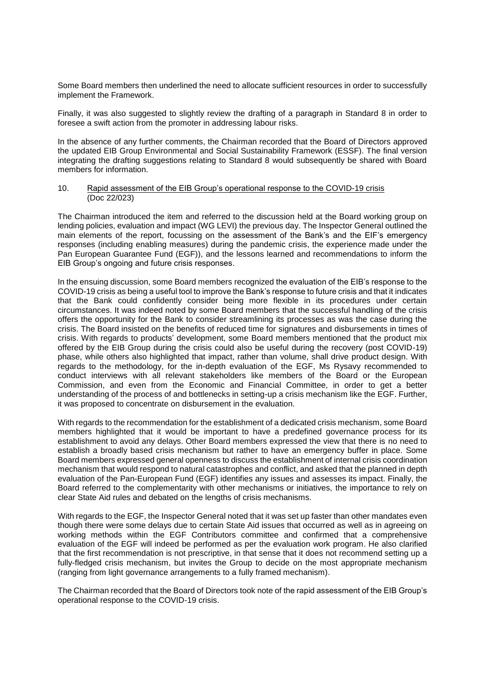Some Board members then underlined the need to allocate sufficient resources in order to successfully implement the Framework.

Finally, it was also suggested to slightly review the drafting of a paragraph in Standard 8 in order to foresee a swift action from the promoter in addressing labour risks.

In the absence of any further comments, the Chairman recorded that the Board of Directors approved the updated EIB Group Environmental and Social Sustainability Framework (ESSF). The final version integrating the drafting suggestions relating to Standard 8 would subsequently be shared with Board members for information.

### 10. Rapid assessment of the EIB Group's operational response to the COVID-19 crisis (Doc 22/023)

The Chairman introduced the item and referred to the discussion held at the Board working group on lending policies, evaluation and impact (WG LEVI) the previous day. The Inspector General outlined the main elements of the report, focussing on the assessment of the Bank's and the EIF's emergency responses (including enabling measures) during the pandemic crisis, the experience made under the Pan European Guarantee Fund (EGF)), and the lessons learned and recommendations to inform the EIB Group's ongoing and future crisis responses.

In the ensuing discussion, some Board members recognized the evaluation of the EIB's response to the COVID-19 crisis as being a useful tool to improve the Bank's response to future crisis and that it indicates that the Bank could confidently consider being more flexible in its procedures under certain circumstances. It was indeed noted by some Board members that the successful handling of the crisis offers the opportunity for the Bank to consider streamlining its processes as was the case during the crisis. The Board insisted on the benefits of reduced time for signatures and disbursements in times of crisis. With regards to products' development, some Board members mentioned that the product mix offered by the EIB Group during the crisis could also be useful during the recovery (post COVID-19) phase, while others also highlighted that impact, rather than volume, shall drive product design. With regards to the methodology, for the in-depth evaluation of the EGF, Ms Rysavy recommended to conduct interviews with all relevant stakeholders like members of the Board or the European Commission, and even from the Economic and Financial Committee, in order to get a better understanding of the process of and bottlenecks in setting-up a crisis mechanism like the EGF. Further, it was proposed to concentrate on disbursement in the evaluation.

With regards to the recommendation for the establishment of a dedicated crisis mechanism, some Board members highlighted that it would be important to have a predefined governance process for its establishment to avoid any delays. Other Board members expressed the view that there is no need to establish a broadly based crisis mechanism but rather to have an emergency buffer in place. Some Board members expressed general openness to discuss the establishment of internal crisis coordination mechanism that would respond to natural catastrophes and conflict, and asked that the planned in depth evaluation of the Pan-European Fund (EGF) identifies any issues and assesses its impact. Finally, the Board referred to the complementarity with other mechanisms or initiatives, the importance to rely on clear State Aid rules and debated on the lengths of crisis mechanisms.

With regards to the EGF, the Inspector General noted that it was set up faster than other mandates even though there were some delays due to certain State Aid issues that occurred as well as in agreeing on working methods within the EGF Contributors committee and confirmed that a comprehensive evaluation of the EGF will indeed be performed as per the evaluation work program. He also clarified that the first recommendation is not prescriptive, in that sense that it does not recommend setting up a fully-fledged crisis mechanism, but invites the Group to decide on the most appropriate mechanism (ranging from light governance arrangements to a fully framed mechanism).

The Chairman recorded that the Board of Directors took note of the rapid assessment of the EIB Group's operational response to the COVID-19 crisis.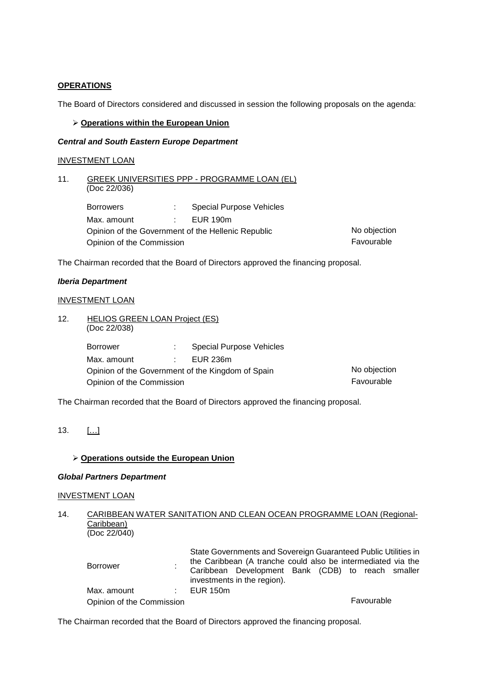# **OPERATIONS**

The Board of Directors considered and discussed in session the following proposals on the agenda:

## **Operations within the European Union**

## *Central and South Eastern Europe Department*

## INVESTMENT LOAN

| 11. | (Doc 22/036)              |            | GREEK UNIVERSITIES PPP - PROGRAMME LOAN (EL)       |              |
|-----|---------------------------|------------|----------------------------------------------------|--------------|
|     | <b>Borrowers</b>          |            | <b>Special Purpose Vehicles</b>                    |              |
|     | Max. amount               | diam.      | EUR 190m                                           |              |
|     |                           |            | Opinion of the Government of the Hellenic Republic | No objection |
|     | Opinion of the Commission | Favourable |                                                    |              |

The Chairman recorded that the Board of Directors approved the financing proposal.

## *Iberia Department*

## INVESTMENT LOAN

12. HELIOS GREEN LOAN Project (ES) (Doc 22/038) Borrower : Special Purpose Vehicles Max. amount : EUR 236m Opinion of the Government of the Kingdom of Spain No objection Opinion of the Commission **Favourable** 

The Chairman recorded that the Board of Directors approved the financing proposal.

## **Operations outside the European Union**

# *Global Partners Department*

## INVESTMENT LOAN

## 14. CARIBBEAN WATER SANITATION AND CLEAN OCEAN PROGRAMME LOAN (Regional-Caribbean) (Doc 22/040)

| <b>Borrower</b>           | State Governments and Sovereign Guaranteed Public Utilities in<br>the Caribbean (A tranche could also be intermediated via the |  |  |  |
|---------------------------|--------------------------------------------------------------------------------------------------------------------------------|--|--|--|
|                           | Caribbean Development Bank (CDB) to reach smaller<br>investments in the region).                                               |  |  |  |
| Max. amount               | $\pm$ EUR 150m                                                                                                                 |  |  |  |
| Opinion of the Commission | Favourable                                                                                                                     |  |  |  |

The Chairman recorded that the Board of Directors approved the financing proposal.

<sup>13.</sup> […]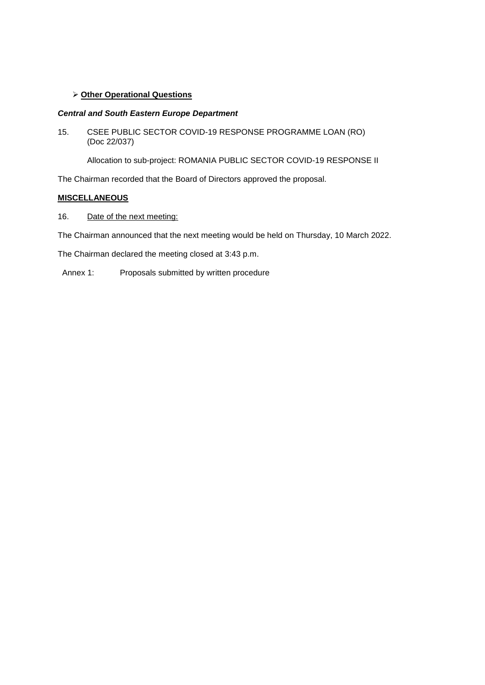# **Other Operational Questions**

# *Central and South Eastern Europe Department*

15. CSEE PUBLIC SECTOR COVID-19 RESPONSE PROGRAMME LOAN (RO) (Doc 22/037)

Allocation to sub-project: ROMANIA PUBLIC SECTOR COVID-19 RESPONSE II

The Chairman recorded that the Board of Directors approved the proposal.

# **MISCELLANEOUS**

16. Date of the next meeting:

The Chairman announced that the next meeting would be held on Thursday, 10 March 2022.

The Chairman declared the meeting closed at 3:43 p.m.

Annex 1: Proposals submitted by written procedure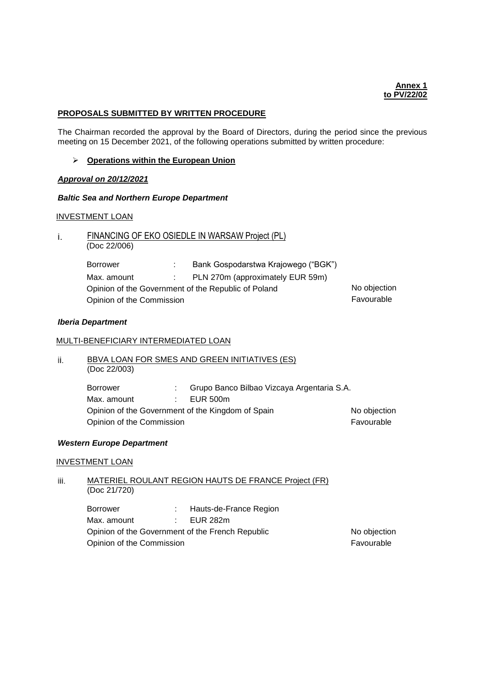### **PROPOSALS SUBMITTED BY WRITTEN PROCEDURE**

The Chairman recorded the approval by the Board of Directors, during the period since the previous meeting on 15 December 2021, of the following operations submitted by written procedure:

### **Operations within the European Union**

### *Approval on 20/12/2021*

## *Baltic Sea and Northern Europe Department*

### INVESTMENT LOAN

#### FINANCING OF EKO OSIEDLE IN WARSAW Project (PL) i. (Doc 22/006)

| Borrower                  | Bank Gospodarstwa Krajowego ("BGK")                 |              |
|---------------------------|-----------------------------------------------------|--------------|
| Max. amount               | PLN 270m (approximately EUR 59m)                    |              |
|                           | Opinion of the Government of the Republic of Poland | No objection |
| Opinion of the Commission |                                                     | Favourable   |

### *Iberia Department*

## MULTI-BENEFICIARY INTERMEDIATED LOAN

#### ii. BBVA LOAN FOR SMES AND GREEN INITIATIVES (ES) (Doc 22/003)

| <b>Borrower</b>           | Grupo Banco Bilbao Vizcaya Argentaria S.A.        |              |
|---------------------------|---------------------------------------------------|--------------|
| Max. amount               | EUR 500m                                          |              |
|                           | Opinion of the Government of the Kingdom of Spain | No objection |
| Opinion of the Commission |                                                   | Favourable   |

## *Western Europe Department*

#### INVESTMENT LOAN

#### iii. MATERIEL ROULANT REGION HAUTS DE FRANCE Project (FR) (Doc 21/720)

Borrower : Hauts-de-France Region Max. amount : EUR 282m Opinion of the Government of the French Republic No objection Opinion of the Commission **Favourable**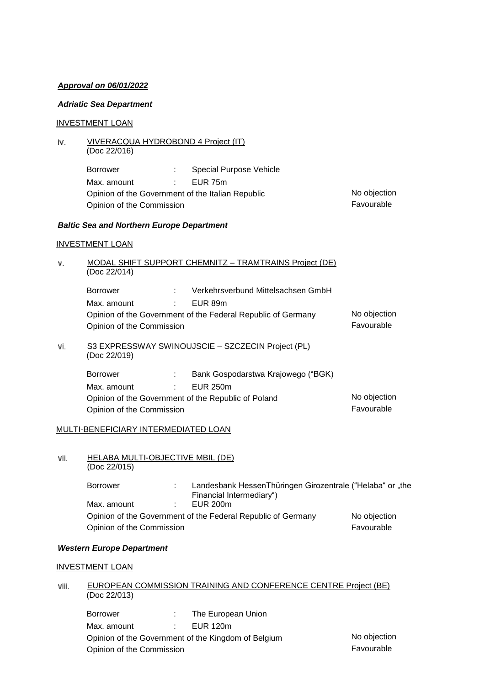# *Approval on 06/01/2022*

# *Adriatic Sea Department*

# INVESTMENT LOAN

| iv. | VIVERACQUA HYDROBOND 4 Project (IT)<br>(Doc 22/016) |                             |                                                              |              |
|-----|-----------------------------------------------------|-----------------------------|--------------------------------------------------------------|--------------|
|     | <b>Borrower</b>                                     | t in                        | Special Purpose Vehicle                                      |              |
|     | Max. amount<br><b>Contract Contract Contract</b>    |                             | EUR 75m                                                      |              |
|     | Opinion of the Government of the Italian Republic   |                             |                                                              | No objection |
|     | Opinion of the Commission                           |                             |                                                              | Favourable   |
|     | <b>Baltic Sea and Northern Europe Department</b>    |                             |                                                              |              |
|     | <b>INVESTMENT LOAN</b>                              |                             |                                                              |              |
| ν.  | (Doc 22/014)                                        |                             | MODAL SHIFT SUPPORT CHEMNITZ - TRAMTRAINS Project (DE)       |              |
|     | <b>Borrower</b>                                     | tion is                     | Verkehrsverbund Mittelsachsen GmbH                           |              |
|     | Max. amount                                         | $\mathcal{L} = \mathcal{L}$ | EUR 89m                                                      |              |
|     |                                                     |                             | Opinion of the Government of the Federal Republic of Germany | No objection |
|     | Opinion of the Commission                           |                             |                                                              | Favourable   |
| Vi. | (Doc 22/019)                                        |                             | S3 EXPRESSWAY SWINOUJSCIE - SZCZECIN Project (PL)            |              |

| Borrower                                            |  | Bank Gospodarstwa Krajowego ("BGK) |              |
|-----------------------------------------------------|--|------------------------------------|--------------|
| Max. amount                                         |  | EUR 250m                           |              |
| Opinion of the Government of the Republic of Poland |  |                                    | No objection |
| Opinion of the Commission                           |  |                                    | Favourable   |

# MULTI-BENEFICIARY INTERMEDIATED LOAN

#### vii. HELABA MULTI-OBJECTIVE MBIL (DE) (Doc 22/015)

| <b>Borrower</b>           | Landesbank HessenThüringen Girozentrale ("Helaba" or "the    |              |
|---------------------------|--------------------------------------------------------------|--------------|
|                           | Financial Intermediary")                                     |              |
| Max. amount               | EUR 200m                                                     |              |
|                           | Opinion of the Government of the Federal Republic of Germany | No objection |
| Opinion of the Commission |                                                              | Favourable   |

# *Western Europe Department*

# INVESTMENT LOAN

#### viii. EUROPEAN COMMISSION TRAINING AND CONFERENCE CENTRE Project (BE) (Doc 22/013)

| <b>Borrower</b>                                     |  | The European Union |              |
|-----------------------------------------------------|--|--------------------|--------------|
| Max. amount                                         |  | EUR 120m           |              |
| Opinion of the Government of the Kingdom of Belgium |  |                    | No objection |
| Opinion of the Commission                           |  |                    | Favourable   |

No objection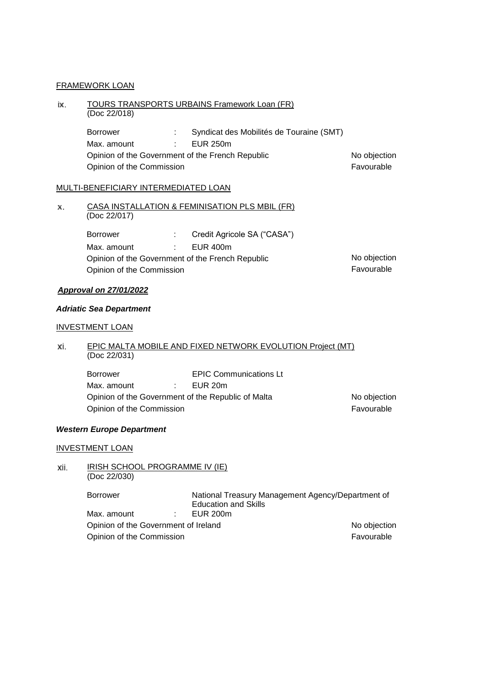# FRAMEWORK LOAN

#### ix. TOURS TRANSPORTS URBAINS Framework Loan (FR) (Doc 22/018)

| Borrower                  | Syndicat des Mobilités de Touraine (SMT)         |              |
|---------------------------|--------------------------------------------------|--------------|
| Max. amount               | EUR 250m                                         |              |
|                           | Opinion of the Government of the French Republic | No objection |
| Opinion of the Commission |                                                  | Favourable   |

# MULTI-BENEFICIARY INTERMEDIATED LOAN

#### CASA INSTALLATION & FEMINISATION PLS MBIL (FR) х. (Doc 22/017)

| Borrower                  | Credit Agricole SA ("CASA")                      |              |
|---------------------------|--------------------------------------------------|--------------|
| Max. amount               | $E$ UR 400m                                      |              |
|                           | Opinion of the Government of the French Republic | No objection |
| Opinion of the Commission |                                                  | Favourable   |

### *Approval on 27/01/2022*

## *Adriatic Sea Department*

# INVESTMENT LOAN

#### EPIC MALTA MOBILE AND FIXED NETWORK EVOLUTION Project (MT) xi. (Doc 22/031)

| Borrower                                           |                 | <b>EPIC Communications Lt</b> |              |
|----------------------------------------------------|-----------------|-------------------------------|--------------|
| Max. amount                                        | <b>Contract</b> | EUR 20m                       |              |
| Opinion of the Government of the Republic of Malta |                 |                               | No objection |
| Opinion of the Commission                          |                 |                               | Favourable   |

## *Western Europe Department*

## INVESTMENT LOAN

#### IRISH SCHOOL PROGRAMME IV (IE) xii. (Doc 22/030)

Borrower Mational Treasury Management Agency/Department of Education and Skills<br>EUR 200m Max. amount : Opinion of the Government of Ireland No objection Opinion of the Commission **Favourable**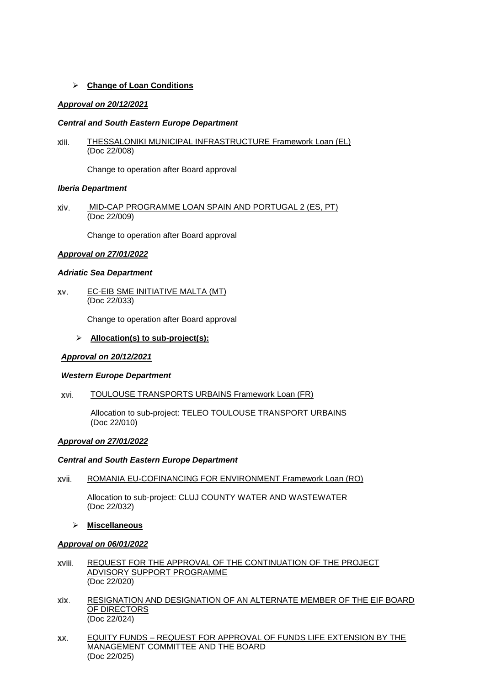# **Change of Loan Conditions**

## *Approval on 20/12/2021*

## *Central and South Eastern Europe Department*

THESSALONIKI MUNICIPAL INFRASTRUCTURE Framework Loan (EL) xiii. (Doc 22/008)

Change to operation after Board approval

## *Iberia Department*

MID-CAP PROGRAMME LOAN SPAIN AND PORTUGAL 2 (ES, PT) xiv. (Doc 22/009)

Change to operation after Board approval

## *Approval on 27/01/2022*

## *Adriatic Sea Department*

EC-EIB SME INITIATIVE MALTA (MT) XV. (Doc 22/033)

Change to operation after Board approval

# **Allocation(s) to sub-project(s):**

## *Approval on 20/12/2021*

## *Western Europe Department*

TOULOUSE TRANSPORTS URBAINS Framework Loan (FR) xvi.

> Allocation to sub-project: TELEO TOULOUSE TRANSPORT URBAINS (Doc 22/010)

## *Approval on 27/01/2022*

## *Central and South Eastern Europe Department*

ROMANIA EU-COFINANCING FOR ENVIRONMENT Framework Loan (RO) xvii.

Allocation to sub-project: CLUJ COUNTY WATER AND WASTEWATER (Doc 22/032)

**Miscellaneous**

## *Approval on 06/01/2022*

- REQUEST FOR THE APPROVAL OF THE CONTINUATION OF THE PROJECT xviii. ADVISORY SUPPORT PROGRAMME (Doc 22/020)
- xix. RESIGNATION AND DESIGNATION OF AN ALTERNATE MEMBER OF THE EIF BOARD OF DIRECTORS (Doc 22/024)
- EQUITY FUNDS REQUEST FOR APPROVAL OF FUNDS LIFE EXTENSION BY THE XX. MANAGEMENT COMMITTEE AND THE BOARD (Doc 22/025)